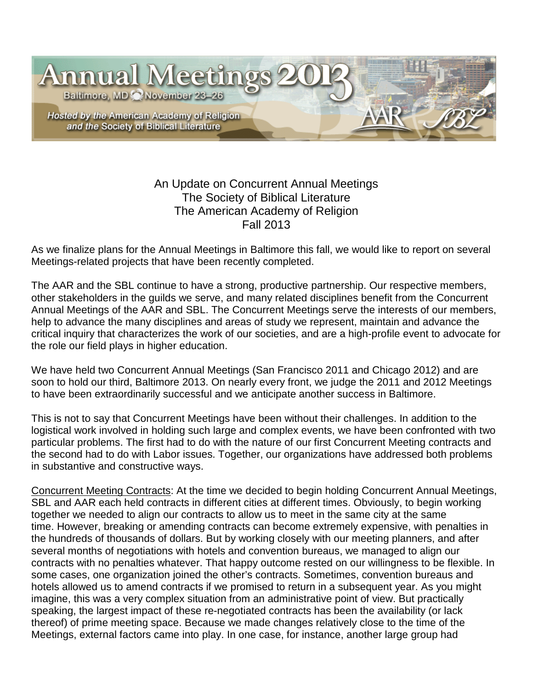

## An Update on Concurrent Annual Meetings The Society of Biblical Literature The American Academy of Religion Fall 2013

As we finalize plans for the Annual Meetings in Baltimore this fall, we would like to report on several Meetings-related projects that have been recently completed.

The AAR and the SBL continue to have a strong, productive partnership. Our respective members, other stakeholders in the guilds we serve, and many related disciplines benefit from the Concurrent Annual Meetings of the AAR and SBL. The Concurrent Meetings serve the interests of our members, help to advance the many disciplines and areas of study we represent, maintain and advance the critical inquiry that characterizes the work of our societies, and are a high-profile event to advocate for the role our field plays in higher education.

We have held two Concurrent Annual Meetings (San Francisco 2011 and Chicago 2012) and are soon to hold our third, Baltimore 2013. On nearly every front, we judge the 2011 and 2012 Meetings to have been extraordinarily successful and we anticipate another success in Baltimore.

This is not to say that Concurrent Meetings have been without their challenges. In addition to the logistical work involved in holding such large and complex events, we have been confronted with two particular problems. The first had to do with the nature of our first Concurrent Meeting contracts and the second had to do with Labor issues. Together, our organizations have addressed both problems in substantive and constructive ways.

Concurrent Meeting Contracts: At the time we decided to begin holding Concurrent Annual Meetings, SBL and AAR each held contracts in different cities at different times. Obviously, to begin working together we needed to align our contracts to allow us to meet in the same city at the same time. However, breaking or amending contracts can become extremely expensive, with penalties in the hundreds of thousands of dollars. But by working closely with our meeting planners, and after several months of negotiations with hotels and convention bureaus, we managed to align our contracts with no penalties whatever. That happy outcome rested on our willingness to be flexible. In some cases, one organization joined the other's contracts. Sometimes, convention bureaus and hotels allowed us to amend contracts if we promised to return in a subsequent year. As you might imagine, this was a very complex situation from an administrative point of view. But practically speaking, the largest impact of these re-negotiated contracts has been the availability (or lack thereof) of prime meeting space. Because we made changes relatively close to the time of the Meetings, external factors came into play. In one case, for instance, another large group had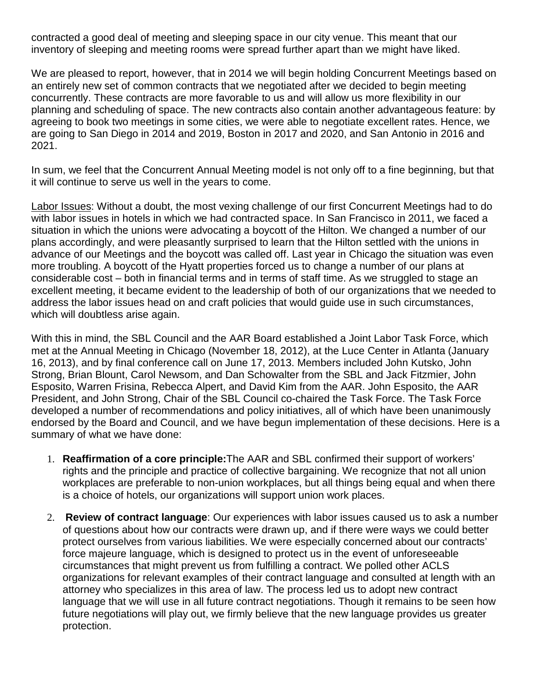contracted a good deal of meeting and sleeping space in our city venue. This meant that our inventory of sleeping and meeting rooms were spread further apart than we might have liked.

We are pleased to report, however, that in 2014 we will begin holding Concurrent Meetings based on an entirely new set of common contracts that we negotiated after we decided to begin meeting concurrently. These contracts are more favorable to us and will allow us more flexibility in our planning and scheduling of space. The new contracts also contain another advantageous feature: by agreeing to book two meetings in some cities, we were able to negotiate excellent rates. Hence, we are going to San Diego in 2014 and 2019, Boston in 2017 and 2020, and San Antonio in 2016 and 2021.

In sum, we feel that the Concurrent Annual Meeting model is not only off to a fine beginning, but that it will continue to serve us well in the years to come.

Labor Issues: Without a doubt, the most vexing challenge of our first Concurrent Meetings had to do with labor issues in hotels in which we had contracted space. In San Francisco in 2011, we faced a situation in which the unions were advocating a boycott of the Hilton. We changed a number of our plans accordingly, and were pleasantly surprised to learn that the Hilton settled with the unions in advance of our Meetings and the boycott was called off. Last year in Chicago the situation was even more troubling. A boycott of the Hyatt properties forced us to change a number of our plans at considerable cost – both in financial terms and in terms of staff time. As we struggled to stage an excellent meeting, it became evident to the leadership of both of our organizations that we needed to address the labor issues head on and craft policies that would guide use in such circumstances, which will doubtless arise again.

With this in mind, the SBL Council and the AAR Board established a Joint Labor Task Force, which met at the Annual Meeting in Chicago (November 18, 2012), at the Luce Center in Atlanta (January 16, 2013), and by final conference call on June 17, 2013. Members included John Kutsko, John Strong, Brian Blount, Carol Newsom, and Dan Schowalter from the SBL and Jack Fitzmier, John Esposito, Warren Frisina, Rebecca Alpert, and David Kim from the AAR. John Esposito, the AAR President, and John Strong, Chair of the SBL Council co-chaired the Task Force. The Task Force developed a number of recommendations and policy initiatives, all of which have been unanimously endorsed by the Board and Council, and we have begun implementation of these decisions. Here is a summary of what we have done:

- 1. **Reaffirmation of a core principle:**The AAR and SBL confirmed their support of workers' rights and the principle and practice of collective bargaining. We recognize that not all union workplaces are preferable to non-union workplaces, but all things being equal and when there is a choice of hotels, our organizations will support union work places.
- 2. **Review of contract language**: Our experiences with labor issues caused us to ask a number of questions about how our contracts were drawn up, and if there were ways we could better protect ourselves from various liabilities. We were especially concerned about our contracts' force majeure language, which is designed to protect us in the event of unforeseeable circumstances that might prevent us from fulfilling a contract. We polled other ACLS organizations for relevant examples of their contract language and consulted at length with an attorney who specializes in this area of law. The process led us to adopt new contract language that we will use in all future contract negotiations. Though it remains to be seen how future negotiations will play out, we firmly believe that the new language provides us greater protection.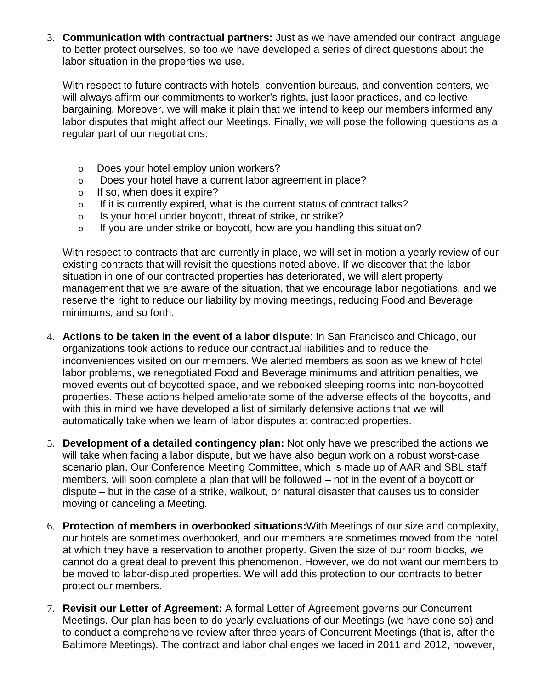3. **Communication with contractual partners:** Just as we have amended our contract language to better protect ourselves, so too we have developed a series of direct questions about the labor situation in the properties we use.

With respect to future contracts with hotels, convention bureaus, and convention centers, we will always affirm our commitments to worker's rights, just labor practices, and collective bargaining. Moreover, we will make it plain that we intend to keep our members informed any labor disputes that might affect our Meetings. Finally, we will pose the following questions as a regular part of our negotiations:

- o Does your hotel employ union workers?
- o Does your hotel have a current labor agreement in place?
- o If so, when does it expire?
- o If it is currently expired, what is the current status of contract talks?
- o Is your hotel under boycott, threat of strike, or strike?
- o If you are under strike or boycott, how are you handling this situation?

With respect to contracts that are currently in place, we will set in motion a yearly review of our existing contracts that will revisit the questions noted above. If we discover that the labor situation in one of our contracted properties has deteriorated, we will alert property management that we are aware of the situation, that we encourage labor negotiations, and we reserve the right to reduce our liability by moving meetings, reducing Food and Beverage minimums, and so forth.

- 4. **Actions to be taken in the event of a labor dispute**: In San Francisco and Chicago, our organizations took actions to reduce our contractual liabilities and to reduce the inconveniences visited on our members. We alerted members as soon as we knew of hotel labor problems, we renegotiated Food and Beverage minimums and attrition penalties, we moved events out of boycotted space, and we rebooked sleeping rooms into non-boycotted properties. These actions helped ameliorate some of the adverse effects of the boycotts, and with this in mind we have developed a list of similarly defensive actions that we will automatically take when we learn of labor disputes at contracted properties.
- 5. **Development of a detailed contingency plan:** Not only have we prescribed the actions we will take when facing a labor dispute, but we have also begun work on a robust worst-case scenario plan. Our Conference Meeting Committee, which is made up of AAR and SBL staff members, will soon complete a plan that will be followed – not in the event of a boycott or dispute – but in the case of a strike, walkout, or natural disaster that causes us to consider moving or canceling a Meeting.
- 6. **Protection of members in overbooked situations:**With Meetings of our size and complexity, our hotels are sometimes overbooked, and our members are sometimes moved from the hotel at which they have a reservation to another property. Given the size of our room blocks, we cannot do a great deal to prevent this phenomenon. However, we do not want our members to be moved to labor-disputed properties. We will add this protection to our contracts to better protect our members.
- 7. **Revisit our Letter of Agreement:** A formal Letter of Agreement governs our Concurrent Meetings. Our plan has been to do yearly evaluations of our Meetings (we have done so) and to conduct a comprehensive review after three years of Concurrent Meetings (that is, after the Baltimore Meetings). The contract and labor challenges we faced in 2011 and 2012, however,